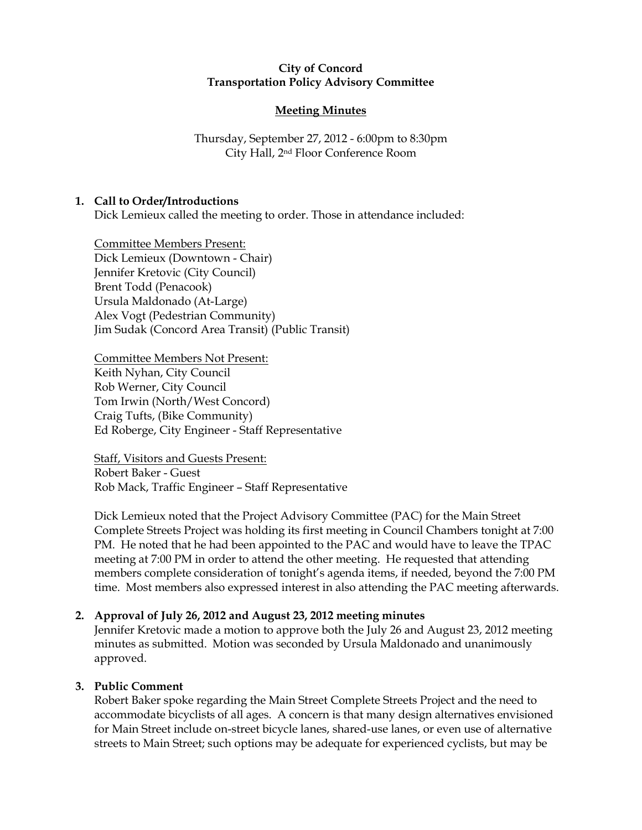## City of Concord Transportation Policy Advisory Committee

# Meeting Minutes

Thursday, September 27, 2012 - 6:00pm to 8:30pm City Hall, 2nd Floor Conference Room

# 1. Call to Order/Introductions

Dick Lemieux called the meeting to order. Those in attendance included:

Committee Members Present: Dick Lemieux (Downtown - Chair) Jennifer Kretovic (City Council) Brent Todd (Penacook) Ursula Maldonado (At-Large) Alex Vogt (Pedestrian Community) Jim Sudak (Concord Area Transit) (Public Transit)

Committee Members Not Present: Keith Nyhan, City Council Rob Werner, City Council Tom Irwin (North/West Concord) Craig Tufts, (Bike Community) Ed Roberge, City Engineer - Staff Representative

Staff, Visitors and Guests Present: Robert Baker - Guest Rob Mack, Traffic Engineer – Staff Representative

Dick Lemieux noted that the Project Advisory Committee (PAC) for the Main Street Complete Streets Project was holding its first meeting in Council Chambers tonight at 7:00 PM. He noted that he had been appointed to the PAC and would have to leave the TPAC meeting at 7:00 PM in order to attend the other meeting. He requested that attending members complete consideration of tonight's agenda items, if needed, beyond the 7:00 PM time. Most members also expressed interest in also attending the PAC meeting afterwards.

# 2. Approval of July 26, 2012 and August 23, 2012 meeting minutes

Jennifer Kretovic made a motion to approve both the July 26 and August 23, 2012 meeting minutes as submitted. Motion was seconded by Ursula Maldonado and unanimously approved.

# 3. Public Comment

Robert Baker spoke regarding the Main Street Complete Streets Project and the need to accommodate bicyclists of all ages. A concern is that many design alternatives envisioned for Main Street include on-street bicycle lanes, shared-use lanes, or even use of alternative streets to Main Street; such options may be adequate for experienced cyclists, but may be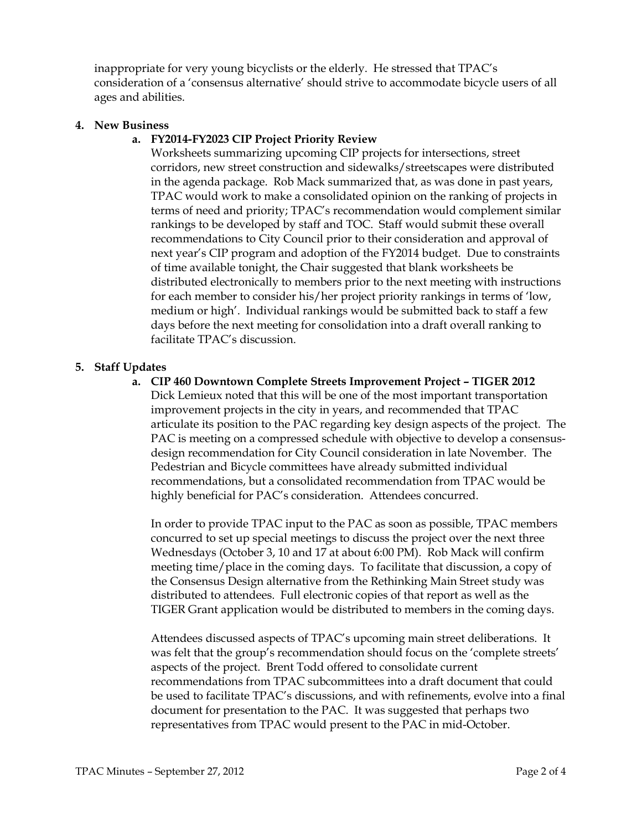inappropriate for very young bicyclists or the elderly. He stressed that TPAC's consideration of a 'consensus alternative' should strive to accommodate bicycle users of all ages and abilities.

## 4. New Business

# a. FY2014-FY2023 CIP Project Priority Review

Worksheets summarizing upcoming CIP projects for intersections, street corridors, new street construction and sidewalks/streetscapes were distributed in the agenda package. Rob Mack summarized that, as was done in past years, TPAC would work to make a consolidated opinion on the ranking of projects in terms of need and priority; TPAC's recommendation would complement similar rankings to be developed by staff and TOC. Staff would submit these overall recommendations to City Council prior to their consideration and approval of next year's CIP program and adoption of the FY2014 budget. Due to constraints of time available tonight, the Chair suggested that blank worksheets be distributed electronically to members prior to the next meeting with instructions for each member to consider his/her project priority rankings in terms of 'low, medium or high'. Individual rankings would be submitted back to staff a few days before the next meeting for consolidation into a draft overall ranking to facilitate TPAC's discussion.

## 5. Staff Updates

a. CIP 460 Downtown Complete Streets Improvement Project – TIGER 2012 Dick Lemieux noted that this will be one of the most important transportation improvement projects in the city in years, and recommended that TPAC articulate its position to the PAC regarding key design aspects of the project. The PAC is meeting on a compressed schedule with objective to develop a consensusdesign recommendation for City Council consideration in late November. The Pedestrian and Bicycle committees have already submitted individual recommendations, but a consolidated recommendation from TPAC would be highly beneficial for PAC's consideration. Attendees concurred.

In order to provide TPAC input to the PAC as soon as possible, TPAC members concurred to set up special meetings to discuss the project over the next three Wednesdays (October 3, 10 and 17 at about 6:00 PM). Rob Mack will confirm meeting time/place in the coming days. To facilitate that discussion, a copy of the Consensus Design alternative from the Rethinking Main Street study was distributed to attendees. Full electronic copies of that report as well as the TIGER Grant application would be distributed to members in the coming days.

Attendees discussed aspects of TPAC's upcoming main street deliberations. It was felt that the group's recommendation should focus on the 'complete streets' aspects of the project. Brent Todd offered to consolidate current recommendations from TPAC subcommittees into a draft document that could be used to facilitate TPAC's discussions, and with refinements, evolve into a final document for presentation to the PAC. It was suggested that perhaps two representatives from TPAC would present to the PAC in mid-October.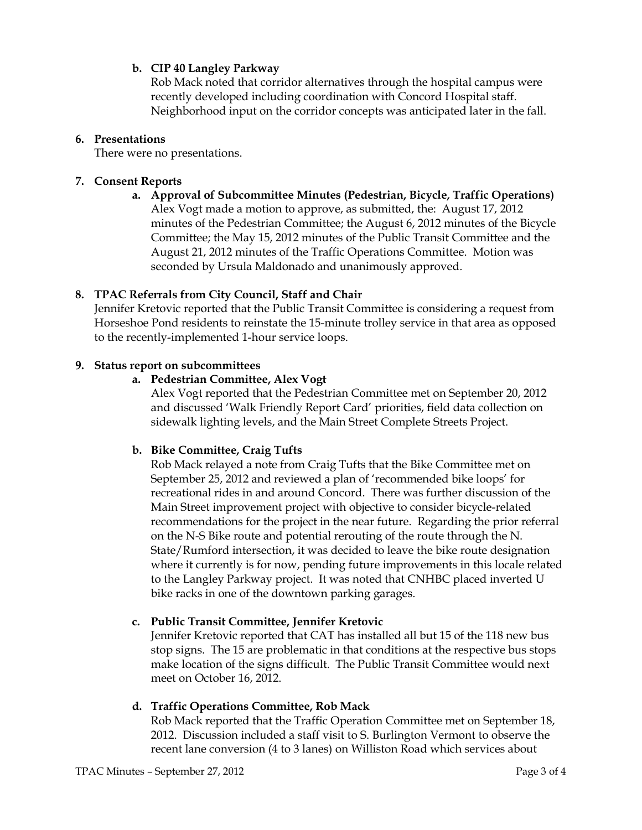# b. CIP 40 Langley Parkway

Rob Mack noted that corridor alternatives through the hospital campus were recently developed including coordination with Concord Hospital staff. Neighborhood input on the corridor concepts was anticipated later in the fall.

## 6. Presentations

There were no presentations.

## 7. Consent Reports

a. Approval of Subcommittee Minutes (Pedestrian, Bicycle, Traffic Operations) Alex Vogt made a motion to approve, as submitted, the: August 17, 2012 minutes of the Pedestrian Committee; the August 6, 2012 minutes of the Bicycle Committee; the May 15, 2012 minutes of the Public Transit Committee and the August 21, 2012 minutes of the Traffic Operations Committee. Motion was seconded by Ursula Maldonado and unanimously approved.

# 8. TPAC Referrals from City Council, Staff and Chair

Jennifer Kretovic reported that the Public Transit Committee is considering a request from Horseshoe Pond residents to reinstate the 15-minute trolley service in that area as opposed to the recently-implemented 1-hour service loops.

## 9. Status report on subcommittees

## a. Pedestrian Committee, Alex Vogt

Alex Vogt reported that the Pedestrian Committee met on September 20, 2012 and discussed 'Walk Friendly Report Card' priorities, field data collection on sidewalk lighting levels, and the Main Street Complete Streets Project.

# b. Bike Committee, Craig Tufts

Rob Mack relayed a note from Craig Tufts that the Bike Committee met on September 25, 2012 and reviewed a plan of 'recommended bike loops' for recreational rides in and around Concord. There was further discussion of the Main Street improvement project with objective to consider bicycle-related recommendations for the project in the near future. Regarding the prior referral on the N-S Bike route and potential rerouting of the route through the N. State/Rumford intersection, it was decided to leave the bike route designation where it currently is for now, pending future improvements in this locale related to the Langley Parkway project. It was noted that CNHBC placed inverted U bike racks in one of the downtown parking garages.

# c. Public Transit Committee, Jennifer Kretovic

Jennifer Kretovic reported that CAT has installed all but 15 of the 118 new bus stop signs. The 15 are problematic in that conditions at the respective bus stops make location of the signs difficult. The Public Transit Committee would next meet on October 16, 2012.

# d. Traffic Operations Committee, Rob Mack

Rob Mack reported that the Traffic Operation Committee met on September 18, 2012. Discussion included a staff visit to S. Burlington Vermont to observe the recent lane conversion (4 to 3 lanes) on Williston Road which services about